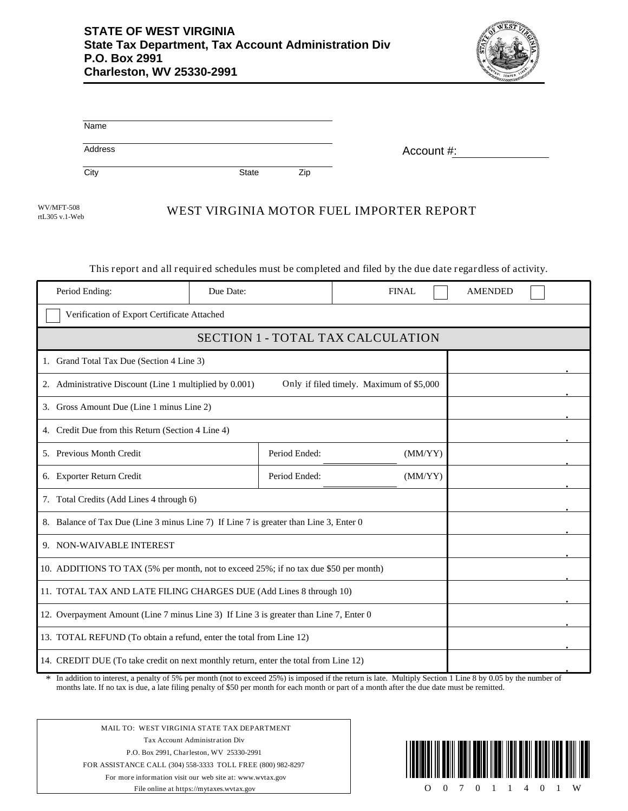

| Name                                                                                   |              |     |                                                                                                            |                |  |
|----------------------------------------------------------------------------------------|--------------|-----|------------------------------------------------------------------------------------------------------------|----------------|--|
| Address                                                                                |              |     | Account #:                                                                                                 |                |  |
| City                                                                                   | <b>State</b> | Zip |                                                                                                            |                |  |
| <b>WV/MFT-508</b><br>rtL305 v.1-Web                                                    |              |     | WEST VIRGINIA MOTOR FUEL IMPORTER REPORT                                                                   |                |  |
|                                                                                        |              |     | This report and all required schedules must be completed and filed by the due date regardless of activity. |                |  |
| Period Ending:                                                                         | Due Date:    |     | <b>FINAL</b>                                                                                               | <b>AMENDED</b> |  |
| Verification of Export Certificate Attached                                            |              |     |                                                                                                            |                |  |
|                                                                                        |              |     | <b>SECTION 1 - TOTAL TAX CALCULATION</b>                                                                   |                |  |
| 1. Grand Total Tax Due (Section 4 Line 3)                                              |              |     |                                                                                                            |                |  |
| 2. Administrative Discount (Line 1 multiplied by 0.001)                                |              |     | Only if filed timely. Maximum of \$5,000                                                                   |                |  |
| 3. Gross Amount Due (Line 1 minus Line 2)                                              |              |     |                                                                                                            |                |  |
| 4. Credit Due from this Return (Section 4 Line 4)                                      |              |     |                                                                                                            |                |  |
| 5. Previous Month Credit<br>Period Ended:<br>(MM/YY)                                   |              |     |                                                                                                            |                |  |
| 6. Exporter Return Credit<br>Period Ended:<br>(MM/YY)                                  |              |     |                                                                                                            |                |  |
| 7. Total Credits (Add Lines 4 through 6)                                               |              |     |                                                                                                            |                |  |
| 8. Balance of Tax Due (Line 3 minus Line 7) If Line 7 is greater than Line 3, Enter 0  |              |     |                                                                                                            |                |  |
| 9. NON-WAIVABLE INTEREST                                                               |              |     |                                                                                                            |                |  |
| 10. ADDITIONS TO TAX (5% per month, not to exceed 25%; if no tax due \$50 per month)   |              |     |                                                                                                            |                |  |
| 11. TOTAL TAX AND LATE FILING CHARGES DUE (Add Lines 8 through 10)                     |              |     |                                                                                                            |                |  |
| 12. Overpayment Amount (Line 7 minus Line 3) If Line 3 is greater than Line 7, Enter 0 |              |     |                                                                                                            |                |  |
| 13. TOTAL REFUND (To obtain a refund, enter the total from Line 12)                    |              |     |                                                                                                            |                |  |
| 14. CREDIT DUE (To take credit on next monthly return, enter the total from Line 12)   |              |     |                                                                                                            |                |  |

In addition to interest, a penalty of 5% per month (not to exceed 25%) is imposed if the return is late. Multiply Section 1 Line 8 by 0.05 by the number of months late. If no tax is due, a late filing penalty of \$50 per month for each month or part of a month after the due date must be remitted. \*

MAIL TO: WEST VIRGINIA STATE TAX DEPARTMENT Tax Account Administration Div P.O. Box 2991, Charleston, WV 25330-2991 FOR ASSISTANCE CALL (304) 558-3333 TOLL FREE (800) 982-8297 For more information visit our web site at: www.wvtax.gov File online at https://mytaxes.wvtax.gov

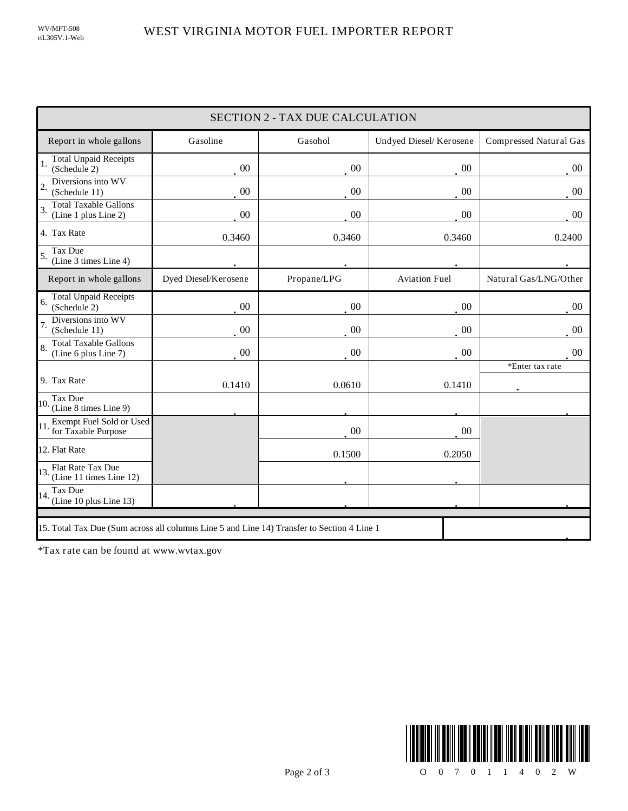| <b>SECTION 2 - TAX DUE CALCULATION</b>                                                     |                      |             |                        |                        |  |
|--------------------------------------------------------------------------------------------|----------------------|-------------|------------------------|------------------------|--|
| Report in whole gallons                                                                    | Gasoline             | Gasohol     | Undyed Diesel/Kerosene | Compressed Natural Gas |  |
| <b>Total Unpaid Receipts</b><br>(Schedule 2)                                               | $00\,$               | 00          | 00                     | $00\,$                 |  |
| Diversions into WV<br>$\overline{\mathcal{L}}$<br>(Schedule 11)                            | $00\,$               | 00          | $00\,$                 | $00\,$                 |  |
| <b>Total Taxable Gallons</b><br>3.<br>(Line 1 plus Line 2)                                 | 00                   | $00\,$      | $00\,$                 | $00\,$                 |  |
| 4. Tax Rate                                                                                | 0.3460               | 0.3460      | 0.3460                 | 0.2400                 |  |
| Tax Due<br>5.<br>(Line 3 times Line 4)                                                     |                      |             |                        |                        |  |
| Report in whole gallons                                                                    | Dyed Diesel/Kerosene | Propane/LPG | <b>Aviation Fuel</b>   | Natural Gas/LNG/Other  |  |
| <b>Total Unpaid Receipts</b><br>6.<br>(Schedule 2)                                         | 00                   | 00          | $00\,$                 | 00                     |  |
| Diversions into WV<br>(Schedule 11)                                                        | $00\,$               | 00          | $00\,$                 | 0 <sup>0</sup>         |  |
| <b>Total Taxable Gallons</b><br>8.<br>(Line 6 plus Line 7)                                 | $00\,$               | 00          | $00\,$                 | 00 <sup>0</sup>        |  |
| 9. Tax Rate                                                                                | 0.1410               | 0.0610      | 0.1410                 | *Enter tax rate        |  |
| Tax Due<br>10.<br>(Line 8 times Line 9)                                                    |                      |             |                        |                        |  |
| Exempt Fuel Sold or Used<br>11. for Taxable Purpose                                        |                      | 00          | $00\,$                 |                        |  |
| 12. Flat Rate                                                                              |                      | 0.1500      | 0.2050                 |                        |  |
| 13. $ext{Flat Rate Tax Due}$<br>13. $ext{Cat}$<br>(Line 11 times Line 12)                  |                      |             |                        |                        |  |
| Tax Due<br>14.<br>(Line 10 plus Line 13)                                                   |                      |             |                        |                        |  |
| 15. Total Tax Due (Sum across all columns Line 5 and Line 14) Transfer to Section 4 Line 1 |                      |             |                        |                        |  |

\*Tax rate can be found at www.wvtax.gov